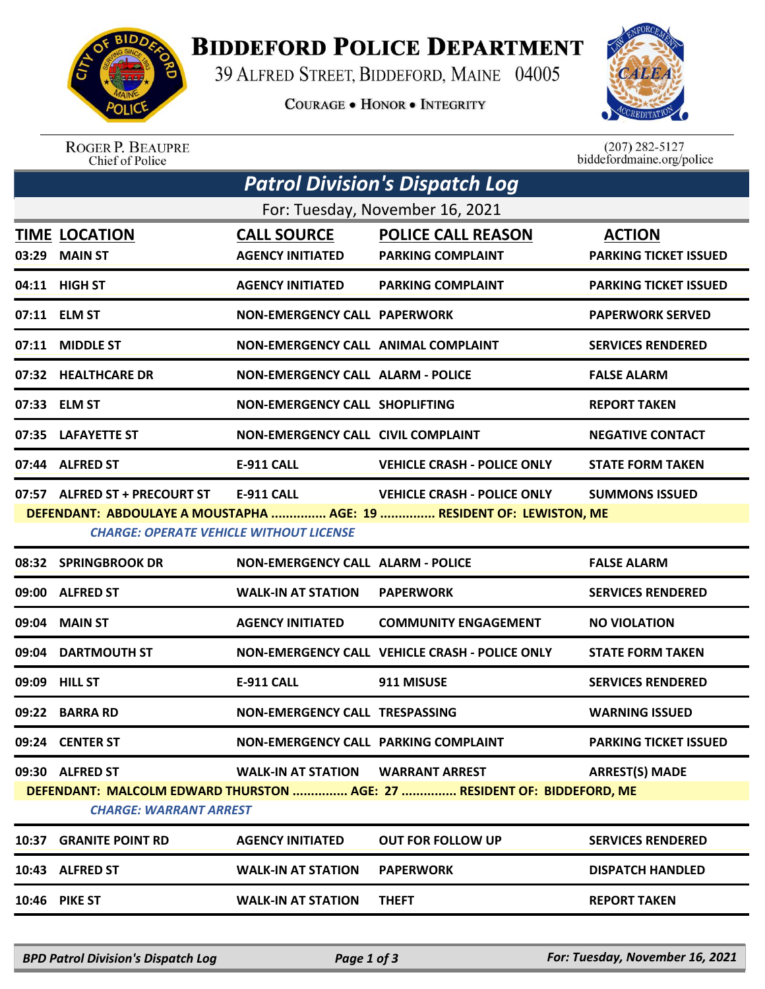

## **BIDDEFORD POLICE DEPARTMENT**

39 ALFRED STREET, BIDDEFORD, MAINE 04005

**COURAGE . HONOR . INTEGRITY** 



ROGER P. BEAUPRE<br>Chief of Police

 $(207)$  282-5127<br>biddefordmaine.org/police

| <b>Patrol Division's Dispatch Log</b> |                                                                                 |                                               |                                                                                                            |                                               |  |  |  |  |
|---------------------------------------|---------------------------------------------------------------------------------|-----------------------------------------------|------------------------------------------------------------------------------------------------------------|-----------------------------------------------|--|--|--|--|
| For: Tuesday, November 16, 2021       |                                                                                 |                                               |                                                                                                            |                                               |  |  |  |  |
|                                       | <b>TIME LOCATION</b><br>03:29 MAIN ST                                           | <b>CALL SOURCE</b><br><b>AGENCY INITIATED</b> | <b>POLICE CALL REASON</b><br><b>PARKING COMPLAINT</b>                                                      | <b>ACTION</b><br><b>PARKING TICKET ISSUED</b> |  |  |  |  |
|                                       | 04:11 HIGH ST                                                                   | <b>AGENCY INITIATED</b>                       | <b>PARKING COMPLAINT</b>                                                                                   | <b>PARKING TICKET ISSUED</b>                  |  |  |  |  |
|                                       | 07:11 ELM ST                                                                    | <b>NON-EMERGENCY CALL PAPERWORK</b>           |                                                                                                            | <b>PAPERWORK SERVED</b>                       |  |  |  |  |
| 07:11                                 | <b>MIDDLE ST</b>                                                                | <b>NON-EMERGENCY CALL ANIMAL COMPLAINT</b>    |                                                                                                            | <b>SERVICES RENDERED</b>                      |  |  |  |  |
|                                       | 07:32 HEALTHCARE DR                                                             | <b>NON-EMERGENCY CALL ALARM - POLICE</b>      |                                                                                                            | <b>FALSE ALARM</b>                            |  |  |  |  |
|                                       | 07:33 ELM ST                                                                    | <b>NON-EMERGENCY CALL SHOPLIFTING</b>         |                                                                                                            | <b>REPORT TAKEN</b>                           |  |  |  |  |
|                                       | 07:35 LAFAYETTE ST                                                              | <b>NON-EMERGENCY CALL CIVIL COMPLAINT</b>     |                                                                                                            | <b>NEGATIVE CONTACT</b>                       |  |  |  |  |
|                                       | 07:44 ALFRED ST                                                                 | E-911 CALL                                    | <b>VEHICLE CRASH - POLICE ONLY</b>                                                                         | <b>STATE FORM TAKEN</b>                       |  |  |  |  |
|                                       | 07:57 ALFRED ST + PRECOURT ST<br><b>CHARGE: OPERATE VEHICLE WITHOUT LICENSE</b> | <b>E-911 CALL</b>                             | <b>VEHICLE CRASH - POLICE ONLY</b><br>DEFENDANT: ABDOULAYE A MOUSTAPHA  AGE: 19  RESIDENT OF: LEWISTON, ME | <b>SUMMONS ISSUED</b>                         |  |  |  |  |
|                                       | 08:32 SPRINGBROOK DR                                                            | <b>NON-EMERGENCY CALL ALARM - POLICE</b>      |                                                                                                            | <b>FALSE ALARM</b>                            |  |  |  |  |
| 09:00                                 | <b>ALFRED ST</b>                                                                | <b>WALK-IN AT STATION</b>                     | <b>PAPERWORK</b>                                                                                           | <b>SERVICES RENDERED</b>                      |  |  |  |  |
| 09:04                                 | <b>MAIN ST</b>                                                                  | <b>AGENCY INITIATED</b>                       | <b>COMMUNITY ENGAGEMENT</b>                                                                                | <b>NO VIOLATION</b>                           |  |  |  |  |
| 09:04                                 | <b>DARTMOUTH ST</b>                                                             |                                               | NON-EMERGENCY CALL VEHICLE CRASH - POLICE ONLY                                                             | <b>STATE FORM TAKEN</b>                       |  |  |  |  |
| 09:09                                 | <b>HILL ST</b>                                                                  | E-911 CALL                                    | 911 MISUSE                                                                                                 | <b>SERVICES RENDERED</b>                      |  |  |  |  |
| 09:22                                 | <b>BARRA RD</b>                                                                 | <b>NON-EMERGENCY CALL TRESPASSING</b>         |                                                                                                            | <b>WARNING ISSUED</b>                         |  |  |  |  |
|                                       | 09:24 CENTER ST                                                                 | NON-EMERGENCY CALL PARKING COMPLAINT          |                                                                                                            | <b>PARKING TICKET ISSUED</b>                  |  |  |  |  |
|                                       | 09:30 ALFRED ST<br><b>CHARGE: WARRANT ARREST</b>                                | <b>WALK-IN AT STATION</b>                     | <b>WARRANT ARREST</b><br>DEFENDANT: MALCOLM EDWARD THURSTON  AGE: 27  RESIDENT OF: BIDDEFORD, ME           | <b>ARREST(S) MADE</b>                         |  |  |  |  |
|                                       | <b>10:37 GRANITE POINT RD</b>                                                   | <b>AGENCY INITIATED</b>                       | <b>OUT FOR FOLLOW UP</b>                                                                                   | <b>SERVICES RENDERED</b>                      |  |  |  |  |
|                                       | 10:43 ALFRED ST                                                                 | <b>WALK-IN AT STATION</b>                     | <b>PAPERWORK</b>                                                                                           | <b>DISPATCH HANDLED</b>                       |  |  |  |  |
|                                       | 10:46 PIKE ST                                                                   | <b>WALK-IN AT STATION</b>                     | <b>THEFT</b>                                                                                               | <b>REPORT TAKEN</b>                           |  |  |  |  |
|                                       |                                                                                 |                                               |                                                                                                            |                                               |  |  |  |  |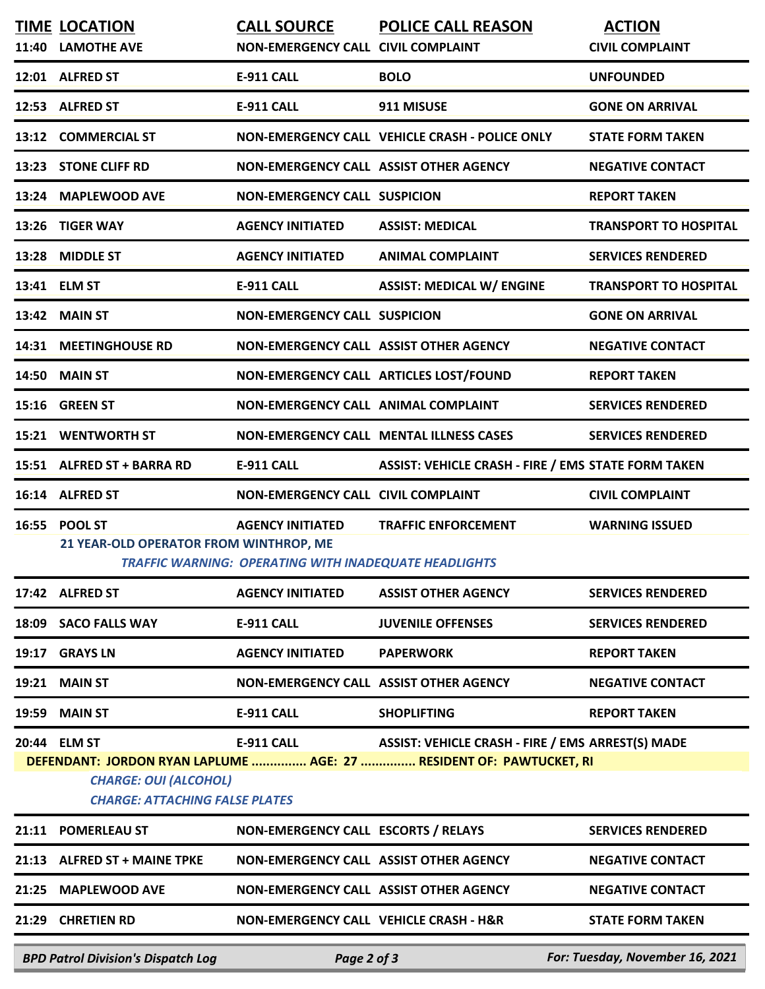| 11:40 | <b>TIME LOCATION</b><br><b>LAMOTHE AVE</b>                                            | <b>CALL SOURCE</b><br>NON-EMERGENCY CALL CIVIL COMPLAINT                                | <b>POLICE CALL REASON</b>                                                                                                | <b>ACTION</b><br><b>CIVIL COMPLAINT</b> |
|-------|---------------------------------------------------------------------------------------|-----------------------------------------------------------------------------------------|--------------------------------------------------------------------------------------------------------------------------|-----------------------------------------|
|       | 12:01 ALFRED ST                                                                       | <b>E-911 CALL</b>                                                                       | <b>BOLO</b>                                                                                                              | <b>UNFOUNDED</b>                        |
|       | 12:53 ALFRED ST                                                                       | <b>E-911 CALL</b>                                                                       | 911 MISUSE                                                                                                               | <b>GONE ON ARRIVAL</b>                  |
| 13:12 | <b>COMMERCIAL ST</b>                                                                  |                                                                                         | NON-EMERGENCY CALL VEHICLE CRASH - POLICE ONLY                                                                           | <b>STATE FORM TAKEN</b>                 |
|       | 13:23 STONE CLIFF RD                                                                  | NON-EMERGENCY CALL ASSIST OTHER AGENCY                                                  |                                                                                                                          | <b>NEGATIVE CONTACT</b>                 |
| 13:24 | <b>MAPLEWOOD AVE</b>                                                                  | <b>NON-EMERGENCY CALL SUSPICION</b>                                                     |                                                                                                                          | <b>REPORT TAKEN</b>                     |
| 13:26 | <b>TIGER WAY</b>                                                                      | <b>AGENCY INITIATED</b>                                                                 | <b>ASSIST: MEDICAL</b>                                                                                                   | <b>TRANSPORT TO HOSPITAL</b>            |
| 13:28 | <b>MIDDLE ST</b>                                                                      | <b>AGENCY INITIATED</b>                                                                 | <b>ANIMAL COMPLAINT</b>                                                                                                  | <b>SERVICES RENDERED</b>                |
|       | 13:41 ELM ST                                                                          | <b>E-911 CALL</b>                                                                       | <b>ASSIST: MEDICAL W/ ENGINE</b>                                                                                         | <b>TRANSPORT TO HOSPITAL</b>            |
| 13:42 | <b>MAIN ST</b>                                                                        | <b>NON-EMERGENCY CALL SUSPICION</b>                                                     |                                                                                                                          | <b>GONE ON ARRIVAL</b>                  |
| 14:31 | <b>MEETINGHOUSE RD</b>                                                                | NON-EMERGENCY CALL ASSIST OTHER AGENCY                                                  |                                                                                                                          | <b>NEGATIVE CONTACT</b>                 |
| 14:50 | <b>MAIN ST</b>                                                                        |                                                                                         | NON-EMERGENCY CALL ARTICLES LOST/FOUND                                                                                   | <b>REPORT TAKEN</b>                     |
| 15:16 | <b>GREEN ST</b>                                                                       | NON-EMERGENCY CALL ANIMAL COMPLAINT                                                     |                                                                                                                          | <b>SERVICES RENDERED</b>                |
|       | 15:21 WENTWORTH ST                                                                    |                                                                                         | <b>NON-EMERGENCY CALL MENTAL ILLNESS CASES</b>                                                                           | <b>SERVICES RENDERED</b>                |
|       | 15:51 ALFRED ST + BARRA RD                                                            | E-911 CALL                                                                              | <b>ASSIST: VEHICLE CRASH - FIRE / EMS STATE FORM TAKEN</b>                                                               |                                         |
|       | 16:14 ALFRED ST                                                                       | NON-EMERGENCY CALL CIVIL COMPLAINT                                                      |                                                                                                                          | <b>CIVIL COMPLAINT</b>                  |
| 16:55 | <b>POOL ST</b><br>21 YEAR-OLD OPERATOR FROM WINTHROP, ME                              | <b>AGENCY INITIATED</b><br><b>TRAFFIC WARNING: OPERATING WITH INADEQUATE HEADLIGHTS</b> | <b>TRAFFIC ENFORCEMENT</b>                                                                                               | <b>WARNING ISSUED</b>                   |
|       | 17:42 ALFRED ST                                                                       | <b>AGENCY INITIATED</b>                                                                 | <b>ASSIST OTHER AGENCY</b>                                                                                               | <b>SERVICES RENDERED</b>                |
| 18:09 | <b>SACO FALLS WAY</b>                                                                 | E-911 CALL                                                                              | <b>JUVENILE OFFENSES</b>                                                                                                 | <b>SERVICES RENDERED</b>                |
| 19:17 | <b>GRAYS LN</b>                                                                       | <b>AGENCY INITIATED</b>                                                                 | <b>PAPERWORK</b>                                                                                                         | <b>REPORT TAKEN</b>                     |
| 19:21 | <b>MAIN ST</b>                                                                        | NON-EMERGENCY CALL ASSIST OTHER AGENCY                                                  |                                                                                                                          | <b>NEGATIVE CONTACT</b>                 |
| 19:59 | <b>MAIN ST</b>                                                                        | E-911 CALL                                                                              | <b>SHOPLIFTING</b>                                                                                                       | <b>REPORT TAKEN</b>                     |
|       | 20:44 ELM ST<br><b>CHARGE: OUI (ALCOHOL)</b><br><b>CHARGE: ATTACHING FALSE PLATES</b> | E-911 CALL                                                                              | ASSIST: VEHICLE CRASH - FIRE / EMS ARREST(S) MADE<br>DEFENDANT: JORDON RYAN LAPLUME  AGE: 27  RESIDENT OF: PAWTUCKET, RI |                                         |
|       | 21:11 POMERLEAU ST                                                                    | NON-EMERGENCY CALL ESCORTS / RELAYS                                                     |                                                                                                                          | <b>SERVICES RENDERED</b>                |
|       | 21:13 ALFRED ST + MAINE TPKE                                                          | NON-EMERGENCY CALL ASSIST OTHER AGENCY                                                  |                                                                                                                          | <b>NEGATIVE CONTACT</b>                 |
|       | 21:25 MAPLEWOOD AVE                                                                   | NON-EMERGENCY CALL ASSIST OTHER AGENCY                                                  |                                                                                                                          | <b>NEGATIVE CONTACT</b>                 |
|       | 21:29 CHRETIEN RD                                                                     | NON-EMERGENCY CALL VEHICLE CRASH - H&R                                                  |                                                                                                                          | <b>STATE FORM TAKEN</b>                 |
|       | <b>BPD Patrol Division's Dispatch Log</b>                                             | Page 2 of 3                                                                             |                                                                                                                          | For: Tuesday, November 16, 2021         |